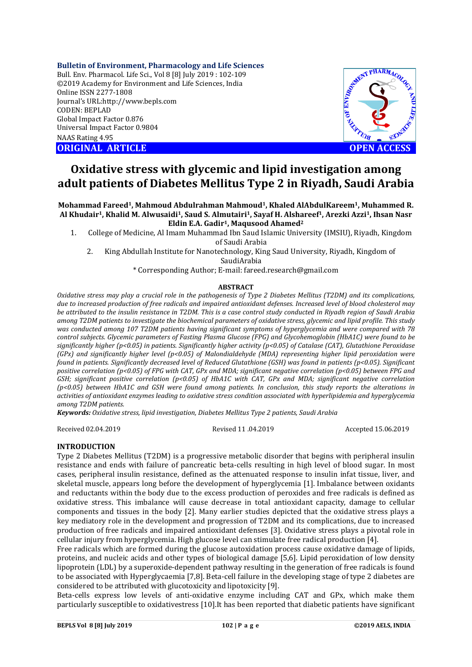#### **Bulletin of Environment, Pharmacology and Life Sciences**

Bull. Env. Pharmacol. Life Sci., Vol 8 [8] July 2019 : 102-109 ©2019 Academy for Environment and Life Sciences, India Online ISSN 2277-1808 Journal's URL:http://www.bepls.com CODEN: BEPLAD Global Impact Factor 0.876 Universal Impact Factor 0.9804 NAAS Rating 4.95 **ORIGINAL ARTICLE OPEN ACCESS** 



# **Oxidative stress with glycemic and lipid investigation among adult patients of Diabetes Mellitus Type 2 in Riyadh, Saudi Arabia**

**Mohammad Fareed1, Mahmoud Abdulrahman Mahmoud1, Khaled AlAbdulKareem1, Muhammed R. Al Khudair1, Khalid M. Alwusaidi1, Saud S. Almutairi1, Sayaf H. Alshareef1, Arezki Azzi1, Ihsan Nasr Eldin E.A. Gadir1, Maqusood Ahamed2**

1. College of Medicine, Al Imam Muhammad Ibn Saud Islamic University (IMSIU), Riyadh, Kingdom of Saudi Arabia

2. King Abdullah Institute for Nanotechnology, King Saud University, Riyadh, Kingdom of SaudiArabia

\* Corresponding Author; E-mail: fareed.research@gmail.com

#### **ABSTRACT**

*Oxidative stress may play a crucial role in the pathogenesis of Type 2 Diabetes Mellitus (T2DM) and its complications, due to increased production of free radicals and impaired antioxidant defenses. Increased level of blood cholesterol may be attributed to the insulin resistance in T2DM. This is a case control study conducted in Riyadh region of Saudi Arabia among T2DM patients to investigate the biochemical parameters of oxidative stress, glycemic and lipid profile. This study was conducted among 107 T2DM patients having significant symptoms of hyperglycemia and were compared with 78 control subjects. Glycemic parameters of Fasting Plasma Glucose (FPG) and Glycohemoglobin (HbA1C) were found to be significantly higher (p<0.05) in patients. Significantly higher activity (p<0.05) of Catalase (CAT), Glutathione Peroxidase (GPx) and significantly higher level (p<0.05) of Malondialdehyde (MDA) representing higher lipid peroxidation were found in patients. Significantly decreased level of Reduced Glutathione (GSH) was found in patients (p<0.05). Significant positive correlation (p<0.05) of FPG with CAT, GPx and MDA; significant negative correlation (p<0.05) between FPG and GSH; significant positive correlation (p<0.05) of HbA1C with CAT, GPx and MDA; significant negative correlation (p<0.05) between HbA1C and GSH were found among patients. In conclusion, this study reports the alterations in activities of antioxidant enzymes leading to oxidative stress condition associated with hyperlipidemia and hyperglycemia among T2DM patients.*

*Keywords: Oxidative stress, lipid investigation, Diabetes Mellitus Type 2 patients, Saudi Arabia*

Received 02.04.2019 Revised 11 .04.2019 Accepted 15.06.2019

#### **INTRODUCTION**

Type 2 Diabetes Mellitus (T2DM) is a progressive metabolic disorder that begins with peripheral insulin resistance and ends with failure of pancreatic beta-cells resulting in high level of blood sugar. In most cases, peripheral insulin resistance, defined as the attenuated response to insulin infat tissue, liver, and skeletal muscle, appears long before the development of hyperglycemia [1]. Imbalance between oxidants and reductants within the body due to the excess production of peroxides and free radicals is defined as oxidative stress. This imbalance will cause decrease in total antioxidant capacity, damage to cellular components and tissues in the body [2]. Many earlier studies depicted that the oxidative stress plays a key mediatory role in the development and progression of T2DM and its complications, due to increased production of free radicals and impaired antioxidant defenses [3]. Oxidative stress plays a pivotal role in cellular injury from hyperglycemia. High glucose level can stimulate free radical production [4].

Free radicals which are formed during the glucose autoxidation process cause oxidative damage of lipids, proteins, and nucleic acids and other types of biological damage [5,6]. Lipid peroxidation of low density lipoprotein (LDL) by a superoxide-dependent pathway resulting in the generation of free radicals is found to be associated with Hyperglycaemia [7,8]. Beta-cell failure in the developing stage of type 2 diabetes are considered to be attributed with glucotoxicity and lipotoxicity [9].

Beta-cells express low levels of anti-oxidative enzyme including CAT and GPx, which make them particularly susceptible to oxidativestress [10].It has been reported that diabetic patients have significant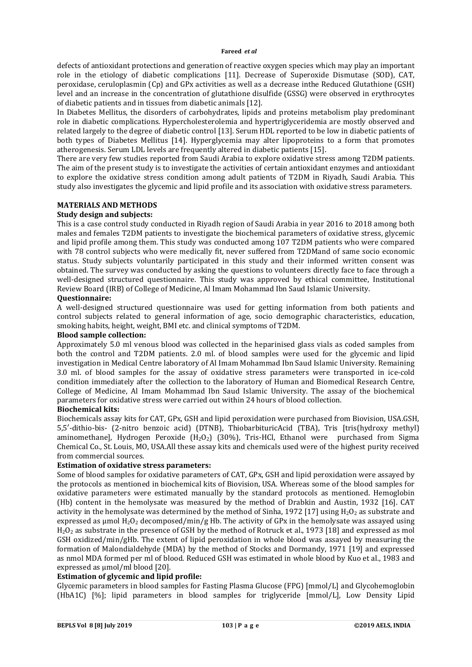defects of antioxidant protections and generation of reactive oxygen species which may play an important role in the etiology of diabetic complications [11]. Decrease of Superoxide Dismutase (SOD), CAT, peroxidase, ceruloplasmin (Cp) and GPx activities as well as a decrease inthe Reduced Glutathione (GSH) level and an increase in the concentration of glutathione disulfide (GSSG) were observed in erythrocytes of diabetic patients and in tissues from diabetic animals [12].

In Diabetes Mellitus, the disorders of carbohydrates, lipids and proteins metabolism play predominant role in diabetic complications. Hypercholesterolemia and hypertriglyceridemia are mostly observed and related largely to the degree of diabetic control [13]. Serum HDL reported to be low in diabetic patients of both types of Diabetes Mellitus [14]. Hyperglycemia may alter lipoproteins to a form that promotes atherogenesis. Serum LDL levels are frequently altered in diabetic patients [15].

There are very few studies reported from Saudi Arabia to explore oxidative stress among T2DM patients. The aim of the present study is to investigate the activities of certain antioxidant enzymes and antioxidant to explore the oxidative stress condition among adult patients of T2DM in Riyadh, Saudi Arabia. This study also investigates the glycemic and lipid profile and its association with oxidative stress parameters.

### **MATERIALS AND METHODS**

#### **Study design and subjects:**

This is a case control study conducted in Riyadh region of Saudi Arabia in year 2016 to 2018 among both males and females T2DM patients to investigate the biochemical parameters of oxidative stress, glycemic and lipid profile among them. This study was conducted among 107 T2DM patients who were compared with 78 control subjects who were medically fit, never suffered from T2DMand of same socio economic status. Study subjects voluntarily participated in this study and their informed written consent was obtained. The survey was conducted by asking the questions to volunteers directly face to face through a well-designed structured questionnaire. This study was approved by ethical committee, Institutional Review Board (IRB) of College of Medicine, Al Imam Mohammad Ibn Saud Islamic University.

#### **Questionnaire:**

A well-designed structured questionnaire was used for getting information from both patients and control subjects related to general information of age, socio demographic characteristics, education, smoking habits, height, weight, BMI etc. and clinical symptoms of T2DM.

#### **Blood sample collection:**

Approximately 5.0 ml venous blood was collected in the heparinised glass vials as coded samples from both the control and T2DM patients. 2.0 ml. of blood samples were used for the glycemic and lipid investigation in Medical Centre laboratory of Al Imam Mohammad Ibn Saud Islamic University. Remaining 3.0 ml. of blood samples for the assay of oxidative stress parameters were transported in ice-cold condition immediately after the collection to the laboratory of Human and Biomedical Research Centre, College of Medicine, Al Imam Mohammad Ibn Saud Islamic University. The assay of the biochemical parameters for oxidative stress were carried out within 24 hours of blood collection.

#### **Biochemical kits:**

Biochemicals assay kits for CAT, GPx, GSH and lipid peroxidation were purchased from Biovision, USA.GSH, 5,5′-dithio-bis- (2-nitro benzoic acid) (DTNB), ThiobarbituricAcid (TBA), Tris [tris(hydroxy methyl) aminomethane], Hydrogen Peroxide  $(H_2O_2)$  (30%), Tris-HCl, Ethanol were purchased from Sigma Chemical Co., St. Louis, MO, USA.All these assay kits and chemicals used were of the highest purity received from commercial sources.

#### **Estimation of oxidative stress parameters:**

Some of blood samples for oxidative parameters of CAT, GPx, GSH and lipid peroxidation were assayed by the protocols as mentioned in biochemical kits of Biovision, USA. Whereas some of the blood samples for oxidative parameters were estimated manually by the standard protocols as mentioned. Hemoglobin (Hb) content in the hemolysate was measured by the method of Drabkin and Austin, 1932 [16]. CAT activity in the hemolysate was determined by the method of Sinha, 1972 [17] using  $H_2O_2$  as substrate and expressed as  $\mu$ mol H<sub>2</sub>O<sub>2</sub> decomposed/min/g Hb. The activity of GPx in the hemolysate was assayed using H2O2 as substrate in the presence of GSH by the method of Rotruck et al., 1973 [18] and expressed as mol GSH oxidized/min/gHb. The extent of lipid peroxidation in whole blood was assayed by measuring the formation of Malondialdehyde (MDA) by the method of Stocks and Dormandy, 1971 [19] and expressed as nmol MDA formed per ml of blood. Reduced GSH was estimated in whole blood by Kuo et al., 1983 and expressed as umol/ml blood [20].

#### **Estimation of glycemic and lipid profile:**

Glycemic parameters in blood samples for Fasting Plasma Glucose (FPG) [mmol/L] and Glycohemoglobin (HbA1C) [%]; lipid parameters in blood samples for triglyceride [mmol/L], Low Density Lipid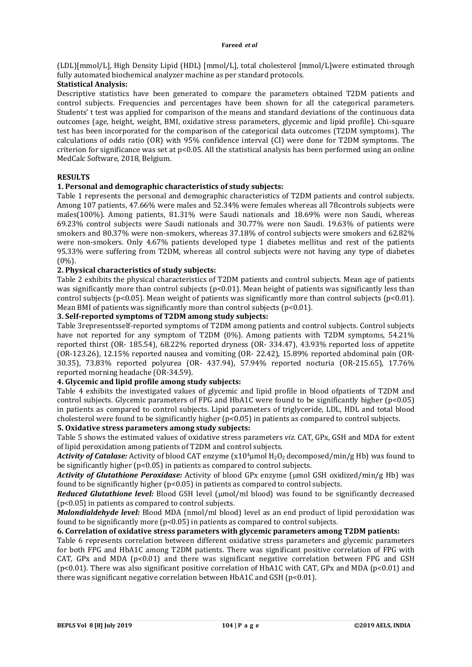(LDL)[mmol/L], High Density Lipid (HDL) [mmol/L], total cholesterol [mmol/L]were estimated through fully automated biochemical analyzer machine as per standard protocols.

#### **Statistical Analysis:**

Descriptive statistics have been generated to compare the parameters obtained T2DM patients and control subjects. Frequencies and percentages have been shown for all the categorical parameters. Students' t test was applied for comparison of the means and standard deviations of the continuous data outcomes (age, height, weight, BMI, oxidative stress parameters, glycemic and lipid profile). Chi-square test has been incorporated for the comparison of the categorical data outcomes (T2DM symptoms). The calculations of odds ratio (OR) with 95% confidence interval (CI) were done for T2DM symptoms. The criterion for significance was set at  $p<0.05$ . All the statistical analysis has been performed using an online MedCalc Software, 2018, Belgium.

#### **RESULTS**

#### **1. Personal and demographic characteristics of study subjects:**

Table 1 represents the personal and demographic characteristics of T2DM patients and control subjects. Among 107 patients, 47.66% were males and 52.34% were females whereas all 78controls subjects were males(100%). Among patients, 81.31% were Saudi nationals and 18.69% were non Saudi, whereas 69.23% control subjects were Saudi nationals and 30.77% were non Saudi. 19.63% of patients were smokers and 80.37% were non-smokers, whereas 37.18% of control subjects were smokers and 62.82% were non-smokers. Only 4.67% patients developed type 1 diabetes mellitus and rest of the patients 95.33% were suffering from T2DM, whereas all control subjects were not having any type of diabetes (0%).

#### **2. Physical characteristics of study subjects:**

Table 2 exhibits the physical characteristics of T2DM patients and control subjects. Mean age of patients was significantly more than control subjects ( $p<0.01$ ). Mean height of patients was significantly less than control subjects (p<0.05). Mean weight of patients was significantly more than control subjects (p<0.01). Mean BMI of patients was significantly more than control subjects  $(p<0.01)$ .

#### **3. Self-reported symptoms of T2DM among study subjects:**

Table 3representsself-reported symptoms of T2DM among patients and control subjects. Control subjects have not reported for any symptom of T2DM (0%). Among patients with T2DM symptoms, 54.21% reported thirst (OR- 185.54), 68.22% reported dryness (OR- 334.47), 43.93% reported loss of appetite (OR-123.26), 12.15% reported nausea and vomiting (OR- 22.42), 15.89% reported abdominal pain (OR-30.35), 73.83% reported polyurea (OR- 437.94), 57.94% reported nocturia (OR-215.65), 17.76% reported morning headache (OR-34.59).

# **4. Glycemic and lipid profile among study subjects:**

Table 4 exhibits the investigated values of glycemic and lipid profile in blood ofpatients of T2DM and control subjects. Glycemic parameters of FPG and HbA1C were found to be significantly higher (p<0.05) in patients as compared to control subjects. Lipid parameters of triglyceride, LDL, HDL and total blood cholesterol were found to be significantly higher (p<0.05) in patients as compared to control subjects.

# **5. Oxidative stress parameters among study subjects:**

Table 5 shows the estimated values of oxidative stress parameters *viz.* CAT, GPx, GSH and MDA for extent of lipid peroxidation among patients of T2DM and control subjects.

Activity of Catalase: Activity of blood CAT enzyme (x10<sup>4</sup>µmol H<sub>2</sub>O<sub>2</sub> decomposed/min/g Hb) was found to be significantly higher (p<0.05) in patients as compared to control subjects.

Activity of Glutathione Peroxidase: Activity of blood GPx enzyme (umol GSH oxidized/min/g Hb) was found to be significantly higher  $(p<0.05)$  in patients as compared to control subjects.

*Reduced Glutathione level:* Blood GSH level (umol/ml blood) was found to be significantly decreased (p<0.05) in patients as compared to control subjects.

*Malondialdehyde level:* Blood MDA (nmol/ml blood) level as an end product of lipid peroxidation was found to be significantly more ( $p$ <0.05) in patients as compared to control subjects.

#### **6. Correlation of oxidative stress parameters with glycemic parameters among T2DM patients:**

Table 6 represents correlation between different oxidative stress parameters and glycemic parameters for both FPG and HbA1C among T2DM patients. There was significant positive correlation of FPG with CAT, GPx and MDA ( $p$ <0.01) and there was significant negative correlation between FPG and GSH ( $p<0.01$ ). There was also significant positive correlation of HbA1C with CAT, GPx and MDA ( $p<0.01$ ) and there was significant negative correlation between HbA1C and GSH ( $p$ <0.01).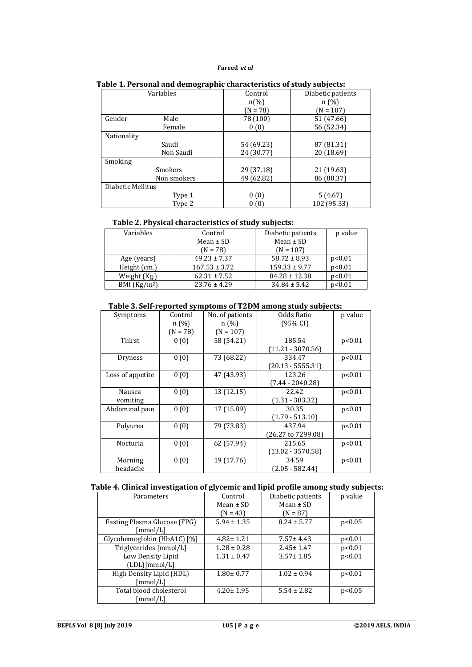| Variables         | Control            | Diabetic patients |  |
|-------------------|--------------------|-------------------|--|
|                   | $n\left(\%\right)$ | n(%)              |  |
|                   | $(N = 78)$         | $(N = 107)$       |  |
| Gender<br>Male    | 78 (100)           | 51 (47.66)        |  |
| Female            | 0(0)               | 56 (52.34)        |  |
| Nationality       |                    |                   |  |
| Saudi             | 54 (69.23)         | 87 (81.31)        |  |
| Non Saudi         | 24 (30.77)         | 20 (18.69)        |  |
| Smoking           |                    |                   |  |
| <b>Smokers</b>    | 29 (37.18)         | 21 (19.63)        |  |
| Non smokers       | 49 (62.82)         | 86 (80.37)        |  |
| Diabetic Mellitus |                    |                   |  |
| Type 1            | 0(0)               | 5(4.67)           |  |
| Type 2            | 0(0)               | 102 (95.33)       |  |

#### **Table 1. Personal and demographic characteristics of study subjects:**

# **Table 2. Physical characteristics of study subjects:**

| Variables     | Control           | Diabetic patients | p value |
|---------------|-------------------|-------------------|---------|
|               | Mean $\pm$ SD     | Mean $\pm$ SD     |         |
|               | $(N = 78)$        | $(N = 107)$       |         |
| Age (years)   | $49.23 \pm 7.37$  | $58.72 \pm 8.93$  | p<0.01  |
| Height (cm.)  | $167.53 \pm 3.72$ | $159.33 \pm 9.77$ | p<0.01  |
| Weight (Kg.)  | $62.31 \pm 7.52$  | $84.28 \pm 12.38$ | p<0.01  |
| BMI $(Kg/m2)$ | $23.76 \pm 4.29$  | $34.84 \pm 5.42$  | p<0.01  |

#### **Table 3. Self-reported symptoms of T2DM among study subjects:**

| Symptoms         | Control    | No. of patients | Odds Ratio          | p value |
|------------------|------------|-----------------|---------------------|---------|
|                  | n(%)       | n(%)            | (95% CI)            |         |
|                  | $(N = 78)$ | $(N = 107)$     |                     |         |
| Thirst           | 0(0)       | 58 (54.21)      | 185.54              | p<0.01  |
|                  |            |                 | $(11.21 - 3070.56)$ |         |
| Dryness          | 0(0)       | 73 (68.22)      | 334.47              | p<0.01  |
|                  |            |                 | $(20.13 - 5555.31)$ |         |
| Loss of appetite | 0(0)       | 47 (43.93)      | 123.26              | p<0.01  |
|                  |            |                 | $(7.44 - 2040.28)$  |         |
| Nausea           | 0(0)       | 13 (12.15)      | 22.42               | p<0.01  |
| vomiting         |            |                 | $(1.31 - 383.32)$   |         |
| Abdominal pain   | 0(0)       | 17 (15.89)      | 30.35               | p<0.01  |
|                  |            |                 | $(1.79 - 513.10)$   |         |
| Polyurea         | 0(0)       | 79 (73.83)      | 437.94              | p<0.01  |
|                  |            |                 | (26.27 to 7299.08)  |         |
| Nocturia         | 0(0)       | 62 (57.94)      | 215.65              | p<0.01  |
|                  |            |                 | $(13.02 - 3570.58)$ |         |
| Morning          | 0(0)       | 19 (17.76)      | 34.59               | p<0.01  |
| headache         |            |                 | (2.05 - 582.44)     |         |

#### **Table 4. Clinical investigation of glycemic and lipid profile among study subjects:**

| ີ                            | ັັ              |                   |         |
|------------------------------|-----------------|-------------------|---------|
| Parameters                   | Control         | Diabetic patients | p value |
|                              | Mean $\pm$ SD   | Mean $\pm$ SD     |         |
|                              | $(N = 43)$      | $(N = 87)$        |         |
| Fasting Plasma Glucose (FPG) | $5.94 \pm 1.35$ | $8.24 \pm 5.77$   | p<0.05  |
| [mmol/L]                     |                 |                   |         |
| Glycohemoglobin (HbA1C) [%]  | $4.82 \pm 1.21$ | $7.57 \pm 4.43$   | p<0.01  |
| Triglycerides [mmol/L]       | $1.28 \pm 0.28$ | $2.45 \pm 1.47$   | p<0.01  |
| Low Density Lipid            | $1.31 \pm 0.47$ | $3.57 \pm 1.85$   | p<0.01  |
| (LDL)[mmol/L]                |                 |                   |         |
| High Density Lipid (HDL)     | $1.80 \pm 0.77$ | $1.02 \pm 0.94$   | p<0.01  |
| [mmol/L]                     |                 |                   |         |
| Total blood cholesterol      | $4.20 \pm 1.95$ | $5.54 \pm 2.82$   | p<0.05  |
| [mmol/L]                     |                 |                   |         |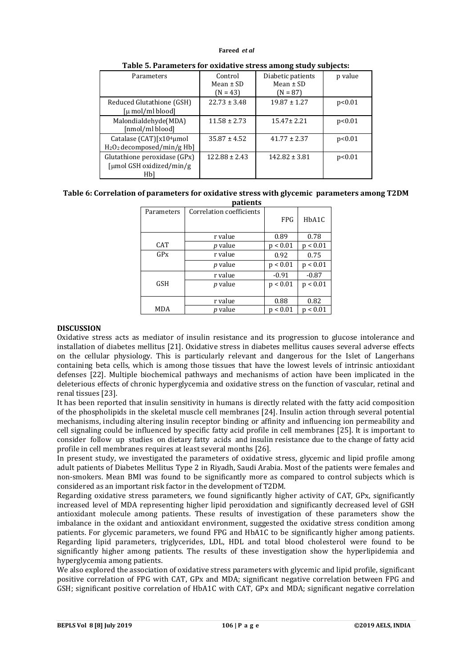| Parameters                                                            | Control<br>Mean $\pm$ SD<br>$(N = 43)$ | Diabetic patients<br>Mean $\pm$ SD<br>$(N = 87)$ | p value |
|-----------------------------------------------------------------------|----------------------------------------|--------------------------------------------------|---------|
| Reduced Glutathione (GSH)<br>$\lceil \mu \text{ mol/ml blood} \rceil$ | $22.73 \pm 3.48$                       | $19.87 \pm 1.27$                                 | p<0.01  |
| Malondialdehyde(MDA)<br>[nmol/ml blood]                               | $11.58 \pm 2.73$                       | $15.47 \pm 2.21$                                 | p<0.01  |
| Catalase (CAT)[x10 <sup>4</sup> µmol<br>$H_2O_2$ decomposed/min/g Hb] | $35.87 \pm 4.52$                       | $41.77 \pm 2.37$                                 | p<0.01  |
| Glutathione peroxidase (GPx)<br>[µmol GSH oxidized/min/g<br>Hbl       | $122.88 \pm 2.43$                      | $142.82 \pm 3.81$                                | p<0.01  |

| Table 5. Parameters for oxidative stress among study subjects: |  |
|----------------------------------------------------------------|--|
|----------------------------------------------------------------|--|

# **Table 6: Correlation of parameters for oxidative stress with glycemic parameters among T2DM**

| patients   |                          |            |          |
|------------|--------------------------|------------|----------|
| Parameters | Correlation coefficients | <b>FPG</b> | HbA1C    |
|            | r value                  | 0.89       | 0.78     |
| CAT        | <i>p</i> value           | p < 0.01   | p < 0.01 |
| GPX        | r value                  | 0.92       | 0.75     |
|            | <i>p</i> value           | p < 0.01   | p < 0.01 |
|            | r value                  | $-0.91$    | $-0.87$  |
| <b>GSH</b> | <i>p</i> value           | p < 0.01   | p < 0.01 |
|            | r value                  | 0.88       | 0.82     |
| <b>MDA</b> | <i>p</i> value           | p < 0.01   | p < 0.01 |

#### **DISCUSSION**

Oxidative stress acts as mediator of insulin resistance and its progression to glucose intolerance and installation of diabetes mellitus [21]. Oxidative stress in diabetes mellitus causes several adverse effects on the cellular physiology. This is particularly relevant and dangerous for the Islet of Langerhans containing beta cells, which is among those tissues that have the lowest levels of intrinsic antioxidant defenses [22]. Multiple biochemical pathways and mechanisms of action have been implicated in the deleterious effects of chronic hyperglycemia and oxidative stress on the function of vascular, retinal and renal tissues [23].

It has been reported that insulin sensitivity in humans is directly related with the fatty acid composition of the phospholipids in the skeletal muscle cell membranes [24]. Insulin action through several potential mechanisms, including altering insulin receptor binding or affinity and influencing ion permeability and cell signaling could be influenced by specific fatty acid profile in cell membranes [25]. It is important to consider follow up studies on dietary fatty acids and insulin resistance due to the change of fatty acid profile in cell membranes requires at least several months [26].

In present study, we investigated the parameters of oxidative stress, glycemic and lipid profile among adult patients of Diabetes Mellitus Type 2 in Riyadh, Saudi Arabia. Most of the patients were females and non-smokers. Mean BMI was found to be significantly more as compared to control subjects which is considered as an important risk factor in the development of T2DM.

Regarding oxidative stress parameters, we found significantly higher activity of CAT, GPx, significantly increased level of MDA representing higher lipid peroxidation and significantly decreased level of GSH antioxidant molecule among patients. These results of investigation of these parameters show the imbalance in the oxidant and antioxidant environment, suggested the oxidative stress condition among patients. For glycemic parameters, we found FPG and HbA1C to be significantly higher among patients. Regarding lipid parameters, triglycerides, LDL, HDL and total blood cholesterol were found to be significantly higher among patients. The results of these investigation show the hyperlipidemia and hyperglycemia among patients.

We also explored the association of oxidative stress parameters with glycemic and lipid profile, significant positive correlation of FPG with CAT, GPx and MDA; significant negative correlation between FPG and GSH; significant positive correlation of HbA1C with CAT, GPx and MDA; significant negative correlation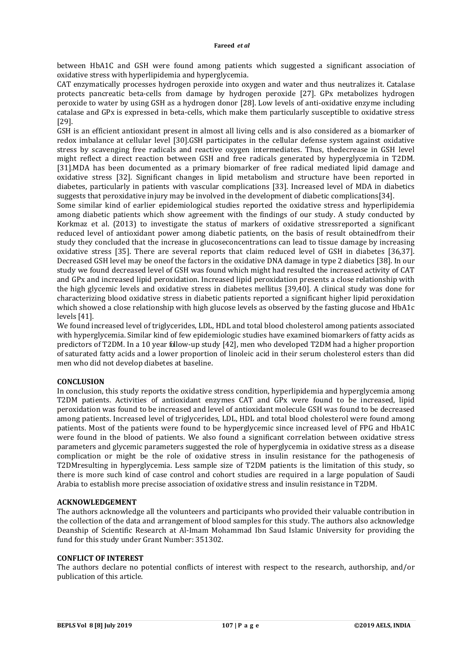between HbA1C and GSH were found among patients which suggested a significant association of oxidative stress with hyperlipidemia and hyperglycemia.

CAT enzymatically processes hydrogen peroxide into oxygen and water and thus neutralizes it. Catalase protects pancreatic beta-cells from damage by hydrogen peroxide [27]. GPx metabolizes hydrogen peroxide to water by using GSH as a hydrogen donor [28]. Low levels of anti-oxidative enzyme including catalase and GPx is expressed in beta-cells, which make them particularly susceptible to oxidative stress [29].

GSH is an efficient antioxidant present in almost all living cells and is also considered as a biomarker of redox imbalance at cellular level [30].GSH participates in the cellular defense system against oxidative stress by scavenging free radicals and reactive oxygen intermediates. Thus, thedecrease in GSH level might reflect a direct reaction between GSH and free radicals generated by hyperglycemia in T2DM. [31].MDA has been documented as a primary biomarker of free radical mediated lipid damage and oxidative stress [32]. Significant changes in lipid metabolism and structure have been reported in diabetes, particularly in patients with vascular complications [33]. Increased level of MDA in diabetics suggests that peroxidative injury may be involved in the development of diabetic complications[34].

Some similar kind of earlier epidemiological studies reported the oxidative stress and hyperlipidemia among diabetic patients which show agreement with the findings of our study. A study conducted by Korkmaz et al. (2013) to investigate the status of markers of oxidative stressreported a significant reduced level of antioxidant power among diabetic patients, on the basis of result obtainedfrom their study they concluded that the increase in glucoseconcentrations can lead to tissue damage by increasing oxidative stress [35]. There are several reports that claim reduced level of GSH in diabetes [36,37]. Decreased GSH level may be oneof the factors in the oxidative DNA damage in type 2 diabetics [38]. In our study we found decreased level of GSH was found which might had resulted the increased activity of CAT and GPx and increased lipid peroxidation. Increased lipid peroxidation presents a close relationship with the high glycemic levels and oxidative stress in diabetes mellitus [39,40]. A clinical study was done for characterizing blood oxidative stress in diabetic patients reported a significant higher lipid peroxidation which showed a close relationship with high glucose levels as observed by the fasting glucose and HbA1c levels [41].

We found increased level of triglycerides, LDL, HDL and total blood cholesterol among patients associated with hyperglycemia. Similar kind of few epidemiologic studies have examined biomarkers of fatty acids as predictors of T2DM. In a 10 year follow-up study [42], men who developed T2DM had a higher proportion of saturated fatty acids and a lower proportion of linoleic acid in their serum cholesterol esters than did men who did not develop diabetes at baseline.

#### **CONCLUSION**

In conclusion, this study reports the oxidative stress condition, hyperlipidemia and hyperglycemia among T2DM patients. Activities of antioxidant enzymes CAT and GPx were found to be increased, lipid peroxidation was found to be increased and level of antioxidant molecule GSH was found to be decreased among patients. Increased level of triglycerides, LDL, HDL and total blood cholesterol were found among patients. Most of the patients were found to be hyperglycemic since increased level of FPG and HbA1C were found in the blood of patients. We also found a significant correlation between oxidative stress parameters and glycemic parameters suggested the role of hyperglycemia in oxidative stress as a disease complication or might be the role of oxidative stress in insulin resistance for the pathogenesis of T2DMresulting in hyperglycemia. Less sample size of T2DM patients is the limitation of this study, so there is more such kind of case control and cohort studies are required in a large population of Saudi Arabia to establish more precise association of oxidative stress and insulin resistance in T2DM.

#### **ACKNOWLEDGEMENT**

The authors acknowledge all the volunteers and participants who provided their valuable contribution in the collection of the data and arrangement of blood samples for this study. The authors also acknowledge Deanship of Scientific Research at Al-Imam Mohammad Ibn Saud Islamic University for providing the fund for this study under Grant Number: 351302.

#### **CONFLICT OF INTEREST**

The authors declare no potential conflicts of interest with respect to the research, authorship, and/or publication of this article.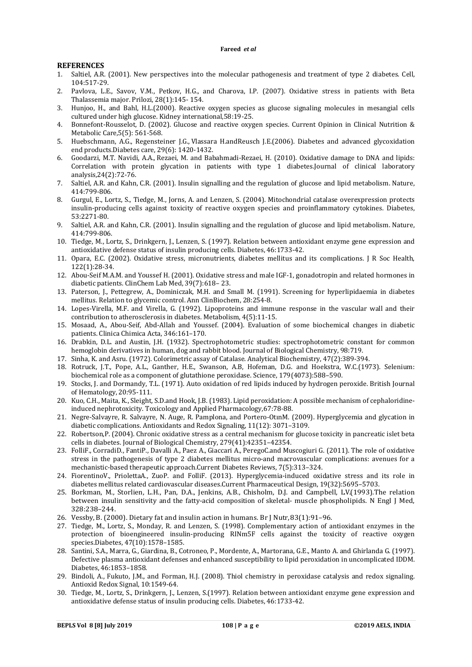#### **REFERENCES**

- 1. Saltiel, A.R. (2001). New perspectives into the molecular pathogenesis and treatment of type 2 diabetes. Cell, 104:517-29.
- 2. Pavlova, L.E., Savov, V.M., Petkov, H.G., and Charova, I.P. (2007). Oxidative stress in patients with Beta Thalassemia major. Prilozi, 28(1):145- 154.
- 3. Hunjoo, H., and Bahl, H.L.(2000). Reactive oxygen species as glucose signaling molecules in mesangial cells cultured under high glucose. Kidney international,58:19-25.
- 4. Bonnefont-Rousselot, D. (2002). Glucose and reactive oxygen species. Current Opinion in Clinical Nutrition & Metabolic Care,5(5): 561-568.
- 5. Huebschmann, A.G., Regensteiner J.G., Vlassara H.andReusch J.E.(2006). Diabetes and advanced glycoxidation end products.Diabetes care, 29(6): 1420-1432.
- 6. Goodarzi, M.T. Navidi, A.A., Rezaei, M. and Babahmadi-Rezaei, H. (2010). Oxidative damage to DNA and lipids: Correlation with protein glycation in patients with type 1 diabetes.Journal of clinical laboratory analysis,24(2):72-76.
- 7. Saltiel, A.R. and Kahn, C.R. (2001). Insulin signalling and the regulation of glucose and lipid metabolism. Nature, 414:799-806.
- 8. Gurgul, E., Lortz, S., Tiedge, M., Jorns, A. and Lenzen, S. (2004). Mitochondrial catalase overexpression protects insulin-producing cells against toxicity of reactive oxygen species and proinflammatory cytokines. Diabetes, 53:2271-80.
- 9. Saltiel, A.R. and Kahn, C.R. (2001). Insulin signalling and the regulation of glucose and lipid metabolism. Nature, 414:799-806.
- 10. Tiedge, M., Lortz, S., Drinkgern, J., Lenzen, S. (1997). Relation between antioxidant enzyme gene expression and antioxidative defense status of insulin producing cells. Diabetes, 46:1733-42.
- 11. Opara, E.C. (2002). Oxidative stress, micronutrients, diabetes mellitus and its complications. J R Soc Health, 122(1):28-34.
- 12. Abou-Seif M.A.M. and Youssef H. (2001). Oxidative stress and male IGF-1, gonadotropin and related hormones in diabetic patients. ClinChem Lab Med, 39(7):618– 23.
- 13. Paterson, J., Pettegrew, A., Dominiczak, M.H. and Small M. (1991). Screening for hyperlipidaemia in diabetes mellitus. Relation to glycemic control. Ann ClinBiochem, 28:254-8.
- 14. Lopes-Virella, M.F. and Virella, G. (1992). Lipoproteins and immune response in the vascular wall and their contribution to atherosclerosis in diabetes. Metabolism, 4(5):11-15.
- 15. Mosaad, A., Abou-Seif, Abd-Allah and Youssef. (2004). Evaluation of some biochemical changes in diabetic patients. Clinica Chimica Acta, 346:161–170.
- 16. Drabkin, D.L. and Austin, J.H. (1932). Spectrophotometric studies: spectrophotometric constant for common hemoglobin derivatives in human, dog and rabbit blood. Journal of Biological Chemistry, 98:719.
- 17. Sinha, K. and Asru. (1972). Colorimetric assay of Catalase. Analytical Biochemistry, 47(2):389-394.
- 18. Rotruck, J.T., Pope, A.L., Ganther, H.E., Swanson, A.B, Hofeman, D.G. and Hoekstra, W.C.(1973). Selenium: biochemical role as a component of glutathione peroxidase. Science, 179(4073):588–590.
- 19. Stocks, J. and Dormandy, T.L. (1971). Auto oxidation of red lipids induced by hydrogen peroxide. British Journal of Hematology, 20:95-111.
- 20. Kuo, C.H., Maita, K., Sleight, S.D.and Hook, J.B. (1983). Lipid peroxidation: A possible mechanism of cephaloridineinduced nephrotoxicity. Toxicology and Applied Pharmacology,67:78-88.
- 21. Negre-Salvayre, R. Salvayre, N. Auge, R. Pamplona, and Portero-OtınM. (2009). Hyperglycemia and glycation in diabetic complications. Antioxidants and Redox Signaling, 11(12): 3071–3109.
- 22. Robertson,P. (2004). Chronic oxidative stress as a central mechanism for glucose toxicity in pancreatic islet beta cells in diabetes. Journal of Biological Chemistry, 279(41):42351–42354.
- 23. FolliF., CorradiD., FantiP., Davalli A., Paez A., Giaccari A., PeregoC.and Muscogiuri G. (2011). The role of oxidative stress in the pathogenesis of type 2 diabetes mellitus micro-and macrovascular complications: avenues for a mechanistic-based therapeutic approach.Current Diabetes Reviews, 7(5):313–324.
- 24. FiorentinoV., PriolettaA., ZuoP. and FolliF. (2013). Hyperglycemia-induced oxidative stress and its role in diabetes mellitus related cardiovascular diseases.Current Pharmaceutical Design, 19(32):5695–5703.
- 25. Borkman, M., Storlien, L.H., Pan, D.A., Jenkins, A.B., Chisholm, D.J. and Campbell, L.V.(1993).The relation between insulin sensitivity and the fatty-acid composition of skeletal- muscle phospholipids. N Engl J Med, 328:238–244.
- 26. Vessby, B. (2000). Dietary fat and insulin action in humans. Br J Nutr, 83(1):91–96.
- 27. Tiedge, M., Lortz, S., Monday, R. and Lenzen, S. (1998). Complementary action of antioxidant enzymes in the protection of bioengineered insulin-producing RINm5F cells against the toxicity of reactive oxygen species.Diabetes, 47(10):1578–1585.
- 28. Santini, S.A., Marra, G., Giardina, B., Cotroneo, P., Mordente, A., Martorana, G.E., Manto A. and Ghirlanda G. (1997). Defective plasma antioxidant defenses and enhanced susceptibility to lipid peroxidation in uncomplicated IDDM. Diabetes, 46:1853–1858.
- 29. Bindoli, A., Fukuto, J.M., and Forman, H.J. (2008). Thiol chemistry in peroxidase catalysis and redox signaling. Antioxid Redox Signal, 10:1549-64.
- 30. Tiedge, M., Lortz, S., Drinkgern, J., Lenzen, S.(1997). Relation between antioxidant enzyme gene expression and antioxidative defense status of insulin producing cells. Diabetes, 46:1733-42.